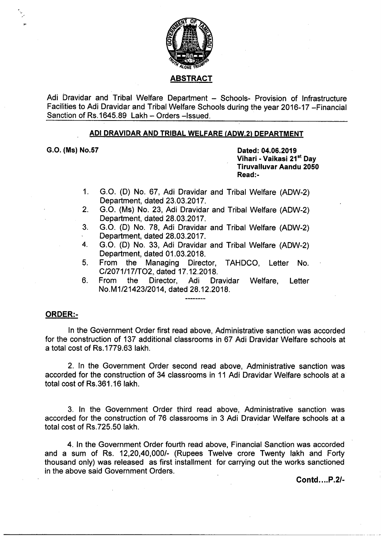

Adi Dravidar and Tribal Welfare Department — Schools- Provision of Infrastructure Facilities to Adi Dravidar and Tribal Welfare Schools during the year 2016-17 —Financial Sanction of Rs.1645.89 Lakh - Orders - Issued.

## ADI DRAVIDAR AND TRIBAL WELFARE (ADW.2) DEPARTMENT

G.O. (Ms) No.57 Dated: 04.06.2019

Vihari - Vaikasi 21<sup>st</sup> Day Tiruvalluvar Aandu 2050 Read:-

- 1. G.O. (D) No. 67, Adi Dravidar and Tribal Welfare (ADW-2) Department, dated 23. 03.2017
- 2. G.0. (Ms) No. 23, Adi Dravidar and Tribal welfare (ADW-2) Department, dated 28.03.2017.
- 3. GO. (D) No. 78, Adi Dravidar and Tribal Welfare (ADW-2) . Department, dated 28.03.2017.
- 4. GO. (D) No. 33, Adi Dravidar and Tribal Welfare (ADW-2) Department, dated 01.03.2018.
- 5. From the Managing Director, TAHDCO, Letter No. C/2071/17/TO2, dated 17.12.2018.
- 6. From the Director, Adi Dravidar Welfare, Letter No.M1/21423/2014, dated 28.12.2018.

## ORDER:-

In the Government Order first read above, Administrative sanction was accorded for the construction of 137 additional classrooms in 67 Adi Dravidar Welfare schools at a total cost of Rs.1779.63 Iakh.

2. In the Government Order second read above, Administrative sanction was accorded for the construction of 34 claseroms in <sup>11</sup> Adi Dravidar Welfare schools at a' total cost of Rs.361.16 lakh.

3. In the Government Order third read above, Administrative sanction was accorded for the construction of 76 classrooms in 3 Adi Dravidar Welfare schools at a total cost of Rs.725.50 lakh.

4. In the Government Order fourth read above, Financial Sanction was accorded and a sum of Rs. 12,20,40,000/- (Rupees Twelve crore Twenty lakh and Forty thousand only) was released as first installment for carrying out the works sanctioned in the above said Government Orders.

Contd....P.2/-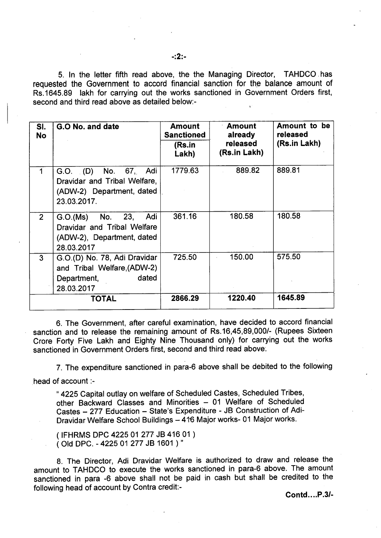5. In the letter fifth read above, the the Managing Director, TAHDCO has requested the Government to accord financial sanction for the balance amount of Rs.1645.89 lakh for carrying out the works sanctioned in Government Orders first, second and third read above as detailed below:-

| SI.<br><b>No</b> | G.O No. and date                                                                                   | <b>Amount</b><br><b>Sanctioned</b><br>(Rs.in<br>Lakh) | <b>Amount</b><br>already<br>released<br>(Rs.in Lakh) | Amount to be<br>released<br>(Rs.in Lakh) |
|------------------|----------------------------------------------------------------------------------------------------|-------------------------------------------------------|------------------------------------------------------|------------------------------------------|
|                  | G.O. (D) No. 67, Adi<br>Dravidar and Tribal Welfare,<br>(ADW-2) Department, dated<br>23.03.2017.   | 1779.63                                               | 889.82                                               | 889.81                                   |
| 2 <sup>1</sup>   | G.O.(Ms) No. 23,<br>Adi<br>Dravidar and Tribal Welfare<br>(ADW-2), Department, dated<br>28.03.2017 | 361.16                                                | 180.58                                               | 180.58                                   |
| 3 <sup>1</sup>   | G.O.(D) No. 78, Adi Dravidar<br>and Tribal Welfare, (ADW-2)<br>dated<br>Department,<br>28.03.2017  | 725.50                                                | 150.00                                               | 575.50                                   |
|                  | <b>TOTAL</b>                                                                                       | 2866.29                                               | 1220.40                                              | 1645.89                                  |

6. The Government, after careful examination, have decided to accord financial sanction and to release the remaining amount of Rs.16,45,89,000/- (Rupees Sixteen Crore Forty Five Lakh and Eighty Nine Thousand only) for carrying out the works sanctioned in Government Orders first, second and third read above:

7. The expenditure sanctioned in para-6 above shall be debited to the folloWing head of account :-

" 4225 Capital outlay on welfare of Scheduled Castes, Scheduled Tribes, other Backward Classes and Minorities — 01 Welfare of Scheduled Castes — 277 Education — State's Expenditure - JB Construction of Adi-Dravidar Welfare School Buildings — 416 Major works- 01 Major works.

(IFHRMS DPC 4225 O1 277 JB 416 01 ) (Old DPC. - 4225 01 277 JB 1601 )"

8. The Director, Adi Dravidar Welfare is authorized to draw and release the amount to TAHDCO to execute the works sanctioned in para-6 above. The amount sanctioned in para -6 above shall not be paid in cash but shall be credited to the following head of account by Contra credit:-

Contd....P.3/-